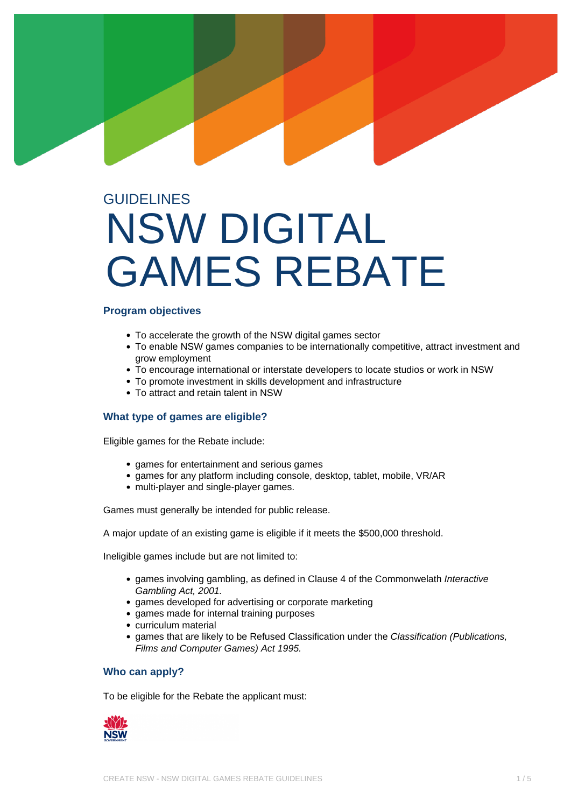# **GUIDELINES** NSW DIGITAL GAMES REBATE

## **Program objectives**

- To accelerate the growth of the NSW digital games sector
- To enable NSW games companies to be internationally competitive, attract investment and grow employment
- To encourage international or interstate developers to locate studios or work in NSW
- To promote investment in skills development and infrastructure
- To attract and retain talent in NSW

# **What type of games are eligible?**

Eligible games for the Rebate include:

- games for entertainment and serious games
- games for any platform including console, desktop, tablet, mobile, VR/AR
- multi-player and single-player games.

Games must generally be intended for public release.

A major update of an existing game is eligible if it meets the \$500,000 threshold.

Ineligible games include but are not limited to:

- games involving gambling, as defined in Clause 4 of the Commonwelath Interactive Gambling Act, 2001.
- games developed for advertising or corporate marketing
- games made for internal training purposes
- curriculum material
- games that are likely to be Refused Classification under the Classification (Publications, Films and Computer Games) Act 1995.

## **Who can apply?**

To be eligible for the Rebate the applicant must:

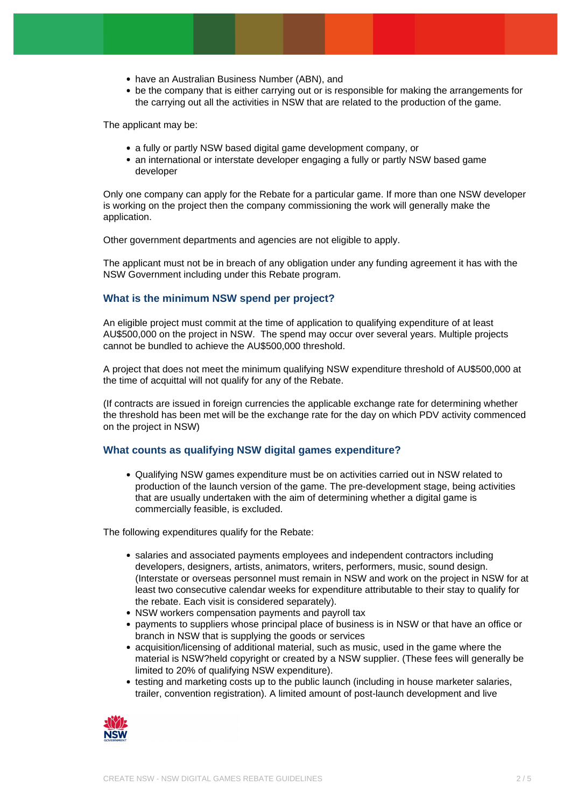- have an Australian Business Number (ABN), and
- be the company that is either carrying out or is responsible for making the arrangements for the carrying out all the activities in NSW that are related to the production of the game.

The applicant may be:

- a fully or partly NSW based digital game development company, or
- an international or interstate developer engaging a fully or partly NSW based game developer

Only one company can apply for the Rebate for a particular game. If more than one NSW developer is working on the project then the company commissioning the work will generally make the application.

Other government departments and agencies are not eligible to apply.

The applicant must not be in breach of any obligation under any funding agreement it has with the NSW Government including under this Rebate program.

## **What is the minimum NSW spend per project?**

An eligible project must commit at the time of application to qualifying expenditure of at least AU\$500,000 on the project in NSW. The spend may occur over several years. Multiple projects cannot be bundled to achieve the AU\$500,000 threshold.

A project that does not meet the minimum qualifying NSW expenditure threshold of AU\$500,000 at the time of acquittal will not qualify for any of the Rebate.

(If contracts are issued in foreign currencies the applicable exchange rate for determining whether the threshold has been met will be the exchange rate for the day on which PDV activity commenced on the project in NSW)

## **What counts as qualifying NSW digital games expenditure?**

Qualifying NSW games expenditure must be on activities carried out in NSW related to production of the launch version of the game. The pre-development stage, being activities that are usually undertaken with the aim of determining whether a digital game is commercially feasible, is excluded.

The following expenditures qualify for the Rebate:

- salaries and associated payments employees and independent contractors including developers, designers, artists, animators, writers, performers, music, sound design. (Interstate or overseas personnel must remain in NSW and work on the project in NSW for at least two consecutive calendar weeks for expenditure attributable to their stay to qualify for the rebate. Each visit is considered separately).
- NSW workers compensation payments and payroll tax
- payments to suppliers whose principal place of business is in NSW or that have an office or branch in NSW that is supplying the goods or services
- acquisition/licensing of additional material, such as music, used in the game where the material is NSW?held copyright or created by a NSW supplier. (These fees will generally be limited to 20% of qualifying NSW expenditure).
- testing and marketing costs up to the public launch (including in house marketer salaries, trailer, convention registration). A limited amount of post-launch development and live

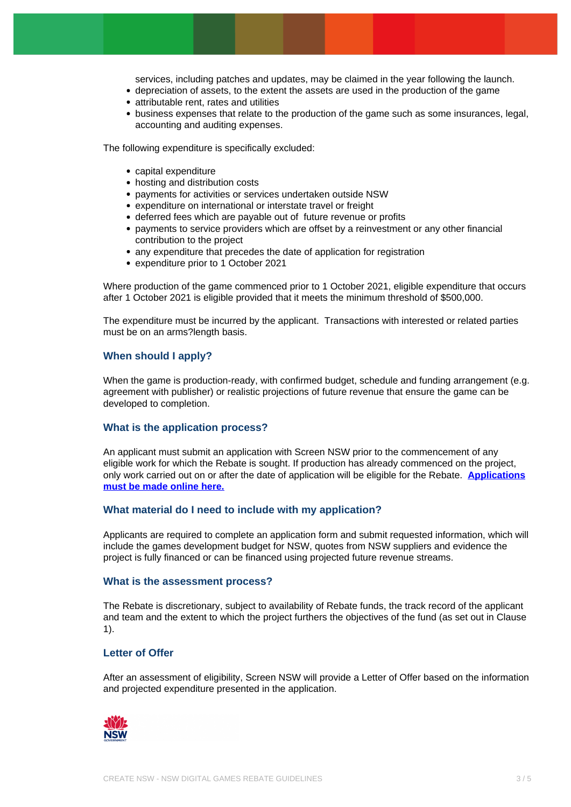services, including patches and updates, may be claimed in the year following the launch.

- depreciation of assets, to the extent the assets are used in the production of the game
- attributable rent, rates and utilities
- business expenses that relate to the production of the game such as some insurances, legal, accounting and auditing expenses.

The following expenditure is specifically excluded:

- capital expenditure
- hosting and distribution costs
- payments for activities or services undertaken outside NSW
- expenditure on international or interstate travel or freight
- deferred fees which are payable out of future revenue or profits
- payments to service providers which are offset by a reinvestment or any other financial contribution to the project
- any expenditure that precedes the date of application for registration
- expenditure prior to 1 October 2021

Where production of the game commenced prior to 1 October 2021, eligible expenditure that occurs after 1 October 2021 is eligible provided that it meets the minimum threshold of \$500,000.

The expenditure must be incurred by the applicant. Transactions with interested or related parties must be on an arms?length basis.

## **When should I apply?**

When the game is production-ready, with confirmed budget, schedule and funding arrangement (e.g. agreement with publisher) or realistic projections of future revenue that ensure the game can be developed to completion.

#### **What is the application process?**

An applicant must submit an application with Screen NSW prior to the commencement of any eligible work for which the Rebate is sought. If production has already commenced on the project, only work carried out on or after the date of application will be eligible for the Rebate. **[Applications](https://screennsw.smartygrants.com.au/nswdigitalgames2022) [must be made online here.](https://screennsw.smartygrants.com.au/nswdigitalgames2022)**

#### **What material do I need to include with my application?**

Applicants are required to complete an application form and submit requested information, which will include the games development budget for NSW, quotes from NSW suppliers and evidence the project is fully financed or can be financed using projected future revenue streams.

#### **What is the assessment process?**

The Rebate is discretionary, subject to availability of Rebate funds, the track record of the applicant and team and the extent to which the project furthers the objectives of the fund (as set out in Clause 1).

## **Letter of Offer**

After an assessment of eligibility, Screen NSW will provide a Letter of Offer based on the information and projected expenditure presented in the application.

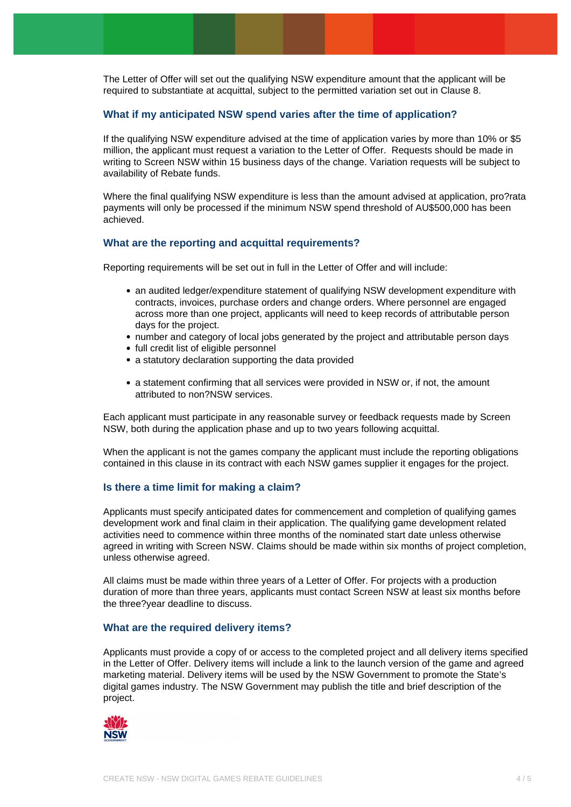The Letter of Offer will set out the qualifying NSW expenditure amount that the applicant will be required to substantiate at acquittal, subject to the permitted variation set out in Clause 8.

# **What if my anticipated NSW spend varies after the time of application?**

If the qualifying NSW expenditure advised at the time of application varies by more than 10% or \$5 million, the applicant must request a variation to the Letter of Offer. Requests should be made in writing to Screen NSW within 15 business days of the change. Variation requests will be subject to availability of Rebate funds.

Where the final qualifying NSW expenditure is less than the amount advised at application, pro?rata payments will only be processed if the minimum NSW spend threshold of AU\$500,000 has been achieved.

## **What are the reporting and acquittal requirements?**

Reporting requirements will be set out in full in the Letter of Offer and will include:

- an audited ledger/expenditure statement of qualifying NSW development expenditure with contracts, invoices, purchase orders and change orders. Where personnel are engaged across more than one project, applicants will need to keep records of attributable person days for the project.
- number and category of local jobs generated by the project and attributable person days
- full credit list of eligible personnel
- a statutory declaration supporting the data provided
- a statement confirming that all services were provided in NSW or, if not, the amount attributed to non?NSW services.

Each applicant must participate in any reasonable survey or feedback requests made by Screen NSW, both during the application phase and up to two years following acquittal.

When the applicant is not the games company the applicant must include the reporting obligations contained in this clause in its contract with each NSW games supplier it engages for the project.

## **Is there a time limit for making a claim?**

Applicants must specify anticipated dates for commencement and completion of qualifying games development work and final claim in their application. The qualifying game development related activities need to commence within three months of the nominated start date unless otherwise agreed in writing with Screen NSW. Claims should be made within six months of project completion, unless otherwise agreed.

All claims must be made within three years of a Letter of Offer. For projects with a production duration of more than three years, applicants must contact Screen NSW at least six months before the three?year deadline to discuss.

# **What are the required delivery items?**

Applicants must provide a copy of or access to the completed project and all delivery items specified in the Letter of Offer. Delivery items will include a link to the launch version of the game and agreed marketing material. Delivery items will be used by the NSW Government to promote the State's digital games industry. The NSW Government may publish the title and brief description of the project.